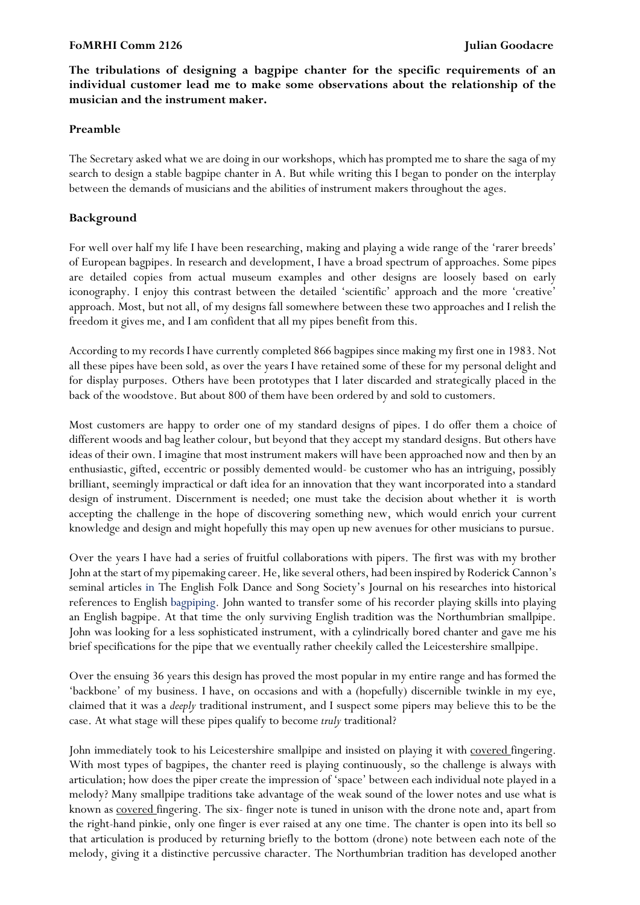#### **FoMRHI Comm 2126 Julian Goodacre**

**The tribulations of designing a bagpipe chanter for the specific requirements of an individual customer lead me to make some observations about the relationship of the musician and the instrument maker.**

#### **Preamble**

The Secretary asked what we are doing in our workshops, which has prompted me to share the saga of my search to design a stable bagpipe chanter in A. But while writing this I began to ponder on the interplay between the demands of musicians and the abilities of instrument makers throughout the ages.

### **Background**

For well over half my life I have been researching, making and playing a wide range of the 'rarer breeds' of European bagpipes. In research and development, I have a broad spectrum of approaches. Some pipes are detailed copies from actual museum examples and other designs are loosely based on early iconography. I enjoy this contrast between the detailed 'scientific' approach and the more 'creative' approach. Most, but not all, of my designs fall somewhere between these two approaches and I relish the freedom it gives me, and I am confident that all my pipes benefit from this.

According to my records I have currently completed 866 bagpipes since making my first one in 1983. Not all these pipes have been sold, as over the years I have retained some of these for my personal delight and for display purposes. Others have been prototypes that I later discarded and strategically placed in the back of the woodstove. But about 800 of them have been ordered by and sold to customers.

Most customers are happy to order one of my standard designs of pipes. I do offer them a choice of different woods and bag leather colour, but beyond that they accept my standard designs. But others have ideas of their own. I imagine that most instrument makers will have been approached now and then by an enthusiastic, gifted, eccentric or possibly demented would- be customer who has an intriguing, possibly brilliant, seemingly impractical or daft idea for an innovation that they want incorporated into a standard design of instrument. Discernment is needed; one must take the decision about whether it is worth accepting the challenge in the hope of discovering something new, which would enrich your current knowledge and design and might hopefully this may open up new avenues for other musicians to pursue.

Over the years I have had a series of fruitful collaborations with pipers. The first was with my brother John at the start of my pipemaking career. He, like several others, had been inspired by Roderick Cannon's seminal articles in The English Folk Dance and Song Society's Journal on his researches into historical references to English bagpiping. John wanted to transfer some of his recorder playing skills into playing an English bagpipe. At that time the only surviving English tradition was the Northumbrian smallpipe. John was looking for a less sophisticated instrument, with a cylindrically bored chanter and gave me his brief specifications for the pipe that we eventually rather cheekily called the Leicestershire smallpipe.

Over the ensuing 36 years this design has proved the most popular in my entire range and has formed the 'backbone' of my business. I have, on occasions and with a (hopefully) discernible twinkle in my eye, claimed that it was a *deeply* traditional instrument, and I suspect some pipers may believe this to be the case. At what stage will these pipes qualify to become *truly* traditional?

John immediately took to his Leicestershire smallpipe and insisted on playing it with covered fingering. With most types of bagpipes, the chanter reed is playing continuously, so the challenge is always with articulation; how does the piper create the impression of 'space' between each individual note played in a melody? Many smallpipe traditions take advantage of the weak sound of the lower notes and use what is known as covered fingering. The six- finger note is tuned in unison with the drone note and, apart from the right-hand pinkie, only one finger is ever raised at any one time. The chanter is open into its bell so that articulation is produced by returning briefly to the bottom (drone) note between each note of the melody, giving it a distinctive percussive character. The Northumbrian tradition has developed another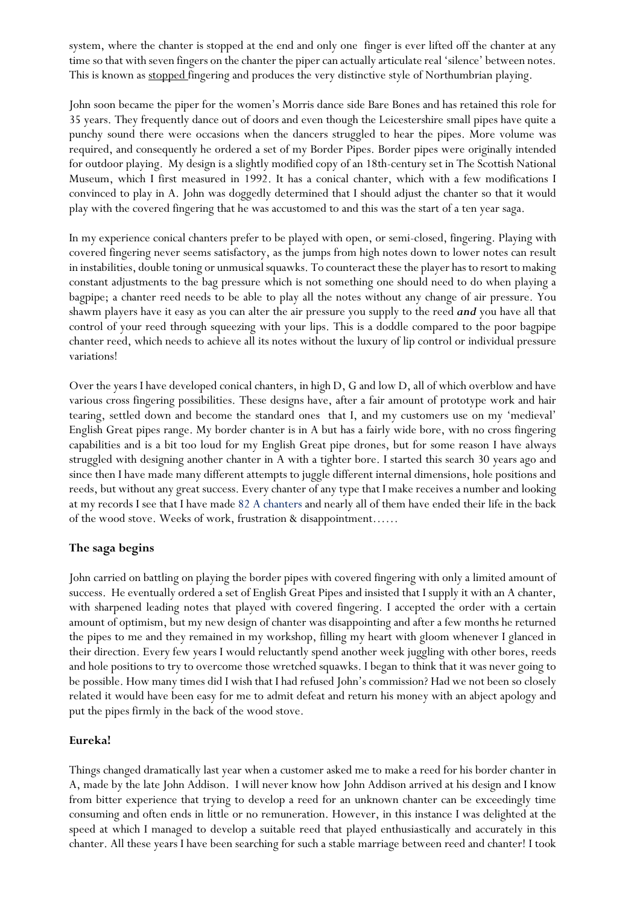system, where the chanter is stopped at the end and only one finger is ever lifted off the chanter at any time so that with seven fingers on the chanter the piper can actually articulate real 'silence' between notes. This is known as stopped fingering and produces the very distinctive style of Northumbrian playing.

John soon became the piper for the women's Morris dance side Bare Bones and has retained this role for 35 years. They frequently dance out of doors and even though the Leicestershire small pipes have quite a punchy sound there were occasions when the dancers struggled to hear the pipes. More volume was required, and consequently he ordered a set of my Border Pipes. Border pipes were originally intended for outdoor playing. My design is a slightly modified copy of an 18th-century set in The Scottish National Museum, which I first measured in 1992. It has a conical chanter, which with a few modifications I convinced to play in A. John was doggedly determined that I should adjust the chanter so that it would play with the covered fingering that he was accustomed to and this was the start of a ten year saga.

In my experience conical chanters prefer to be played with open, or semi-closed, fingering. Playing with covered fingering never seems satisfactory, as the jumps from high notes down to lower notes can result in instabilities, double toning or unmusical squawks. To counteract these the player has to resort to making constant adjustments to the bag pressure which is not something one should need to do when playing a bagpipe; a chanter reed needs to be able to play all the notes without any change of air pressure. You shawm players have it easy as you can alter the air pressure you supply to the reed *and* you have all that control of your reed through squeezing with your lips. This is a doddle compared to the poor bagpipe chanter reed, which needs to achieve all its notes without the luxury of lip control or individual pressure variations!

Over the years I have developed conical chanters, in high D, G and low D, all of which overblow and have various cross fingering possibilities. These designs have, after a fair amount of prototype work and hair tearing, settled down and become the standard ones that I, and my customers use on my 'medieval' English Great pipes range. My border chanter is in A but has a fairly wide bore, with no cross fingering capabilities and is a bit too loud for my English Great pipe drones, but for some reason I have always struggled with designing another chanter in A with a tighter bore. I started this search 30 years ago and since then I have made many different attempts to juggle different internal dimensions, hole positions and reeds, but without any great success. Every chanter of any type that I make receives a number and looking at my records I see that I have made 82 A chanters and nearly all of them have ended their life in the back of the wood stove. Weeks of work, frustration & disappointment……

# **The saga begins**

John carried on battling on playing the border pipes with covered fingering with only a limited amount of success. He eventually ordered a set of English Great Pipes and insisted that I supply it with an A chanter, with sharpened leading notes that played with covered fingering. I accepted the order with a certain amount of optimism, but my new design of chanter was disappointing and after a few months he returned the pipes to me and they remained in my workshop, filling my heart with gloom whenever I glanced in their direction. Every few years I would reluctantly spend another week juggling with other bores, reeds and hole positions to try to overcome those wretched squawks. I began to think that it was never going to be possible. How many times did I wish that I had refused John's commission? Had we not been so closely related it would have been easy for me to admit defeat and return his money with an abject apology and put the pipes firmly in the back of the wood stove.

# **Eureka!**

Things changed dramatically last year when a customer asked me to make a reed for his border chanter in A, made by the late John Addison. I will never know how John Addison arrived at his design and I know from bitter experience that trying to develop a reed for an unknown chanter can be exceedingly time consuming and often ends in little or no remuneration. However, in this instance I was delighted at the speed at which I managed to develop a suitable reed that played enthusiastically and accurately in this chanter. All these years I have been searching for such a stable marriage between reed and chanter! I took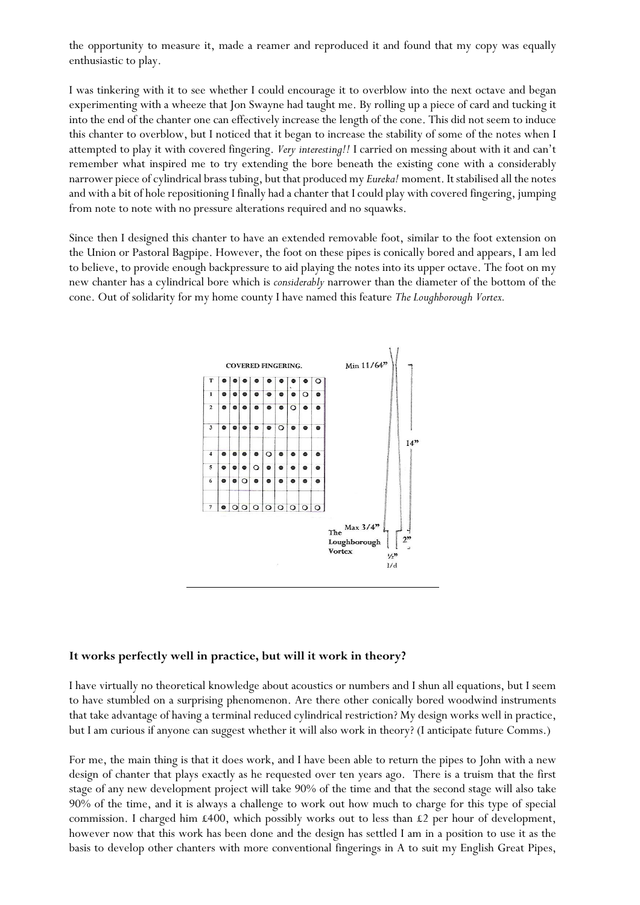the opportunity to measure it, made a reamer and reproduced it and found that my copy was equally enthusiastic to play.

I was tinkering with it to see whether I could encourage it to overblow into the next octave and began experimenting with a wheeze that Jon Swayne had taught me. By rolling up a piece of card and tucking it into the end of the chanter one can effectively increase the length of the cone. This did not seem to induce this chanter to overblow, but I noticed that it began to increase the stability of some of the notes when I attempted to play it with covered fingering. *Very interesting!!* I carried on messing about with it and can't remember what inspired me to try extending the bore beneath the existing cone with a considerably narrower piece of cylindrical brass tubing, but that produced my *Eureka!* moment. It stabilised all the notes and with a bit of hole repositioning I finally had a chanter that I could play with covered fingering, jumping from note to note with no pressure alterations required and no squawks.

Since then I designed this chanter to have an extended removable foot, similar to the foot extension on the Union or Pastoral Bagpipe. However, the foot on these pipes is conically bored and appears, I am led to believe, to provide enough backpressure to aid playing the notes into its upper octave. The foot on my new chanter has a cylindrical bore which is *considerably* narrower than the diameter of the bottom of the cone. Out of solidarity for my home county I have named this feature *The Loughborough Vortex.*



#### **It works perfectly well in practice, but will it work in theory?**

I have virtually no theoretical knowledge about acoustics or numbers and I shun all equations, but I seem to have stumbled on a surprising phenomenon. Are there other conically bored woodwind instruments that take advantage of having a terminal reduced cylindrical restriction? My design works well in practice, but I am curious if anyone can suggest whether it will also work in theory? (I anticipate future Comms.)

For me, the main thing is that it does work, and I have been able to return the pipes to John with a new design of chanter that plays exactly as he requested over ten years ago. There is a truism that the first stage of any new development project will take 90% of the time and that the second stage will also take 90% of the time, and it is always a challenge to work out how much to charge for this type of special commission. I charged him  $\text{\pounds}400$ , which possibly works out to less than  $\text{\pounds}2$  per hour of development, however now that this work has been done and the design has settled I am in a position to use it as the basis to develop other chanters with more conventional fingerings in A to suit my English Great Pipes,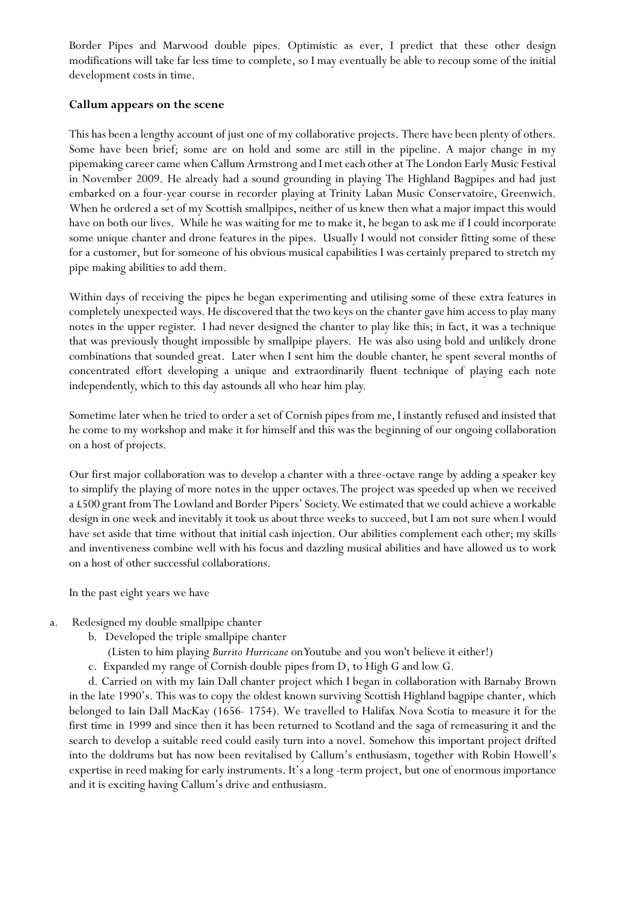Border Pipes and Marwood double pipes. Optimistic as ever, I predict that these other design modifications will take far less time to complete, so I may eventually be able to recoup some of the initial development costs in time.

# **Callum appears on the scene**

This has been a lengthy account of just one of my collaborative projects. There have been plenty of others. Some have been brief; some are on hold and some are still in the pipeline. A major change in my pipemaking career came when Callum Armstrong and I met each other at The London Early Music Festival in November 2009. He already had a sound grounding in playing The Highland Bagpipes and had just embarked on a four-year course in recorder playing at Trinity Laban Music Conservatoire, Greenwich. When he ordered a set of my Scottish smallpipes, neither of us knew then what a major impact this would have on both our lives. While he was waiting for me to make it, he began to ask me if I could incorporate some unique chanter and drone features in the pipes. Usually I would not consider fitting some of these for a customer, but for someone of his obvious musical capabilities I was certainly prepared to stretch my pipe making abilities to add them.

Within days of receiving the pipes he began experimenting and utilising some of these extra features in completely unexpected ways. He discovered that the two keys on the chanter gave him access to play many notes in the upper register. I had never designed the chanter to play like this; in fact, it was a technique that was previously thought impossible by smallpipe players. He was also using bold and unlikely drone combinations that sounded great. Later when I sent him the double chanter, he spent several months of concentrated effort developing a unique and extraordinarily fluent technique of playing each note independently, which to this day astounds all who hear him play.

Sometime later when he tried to order a set of Cornish pipes from me, I instantly refused and insisted that he come to my workshop and make it for himself and this was the beginning of our ongoing collaboration on a host of projects.

Our first major collaboration was to develop a chanter with a three-octave range by adding a speaker key to simplify the playing of more notes in the upper octaves. The project was speeded up when we received a £500 grant from The Lowland and Border Pipers' Society. We estimated that we could achieve a workable design in one week and inevitably it took us about three weeks to succeed, but I am not sure when I would have set aside that time without that initial cash injection. Our abilities complement each other; my skills and inventiveness combine well with his focus and dazzling musical abilities and have allowed us to work on a host of other successful collaborations.

In the past eight years we have

- a. Redesigned my double smallpipe chanter
	- b. Developed the triple smallpipe chanter
		- (Listen to him playing *Burrito Hurricane* on Youtube and you won't believe it either!)
	- c. Expanded my range of Cornish double pipes from D, to High G and low G.

d. Carried on with my Iain Dall chanter project which I began in collaboration with Barnaby Brown in the late 1990's. This was to copy the oldest known surviving Scottish Highland bagpipe chanter, which belonged to Iain Dall MacKay (1656- 1754). We travelled to Halifax Nova Scotia to measure it for the first time in 1999 and since then it has been returned to Scotland and the saga of remeasuring it and the search to develop a suitable reed could easily turn into a novel. Somehow this important project drifted into the doldrums but has now been revitalised by Callum's enthusiasm, together with Robin Howell's expertise in reed making for early instruments. It's a long -term project, but one of enormous importance and it is exciting having Callum's drive and enthusiasm.